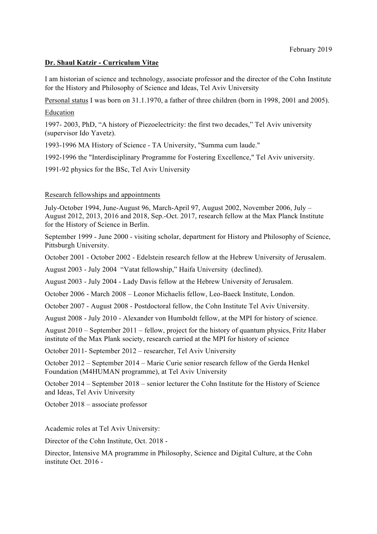### **Dr. Shaul Katzir - Curriculum Vitae**

I am historian of science and technology, associate professor and the director of the Cohn Institute for the History and Philosophy of Science and Ideas, Tel Aviv University

Personal status I was born on 31.1.1970, a father of three children (born in 1998, 2001 and 2005).

### Education

1997- 2003, PhD, "A history of Piezoelectricity: the first two decades," Tel Aviv university (supervisor Ido Yavetz).

1993-1996 MA History of Science - TA University, "Summa cum laude."

1992-1996 the "Interdisciplinary Programme for Fostering Excellence," Tel Aviv university.

1991-92 physics for the BSc, Tel Aviv University

## Research fellowships and appointments

July-October 1994, June-August 96, March-April 97, August 2002, November 2006, July – August 2012, 2013, 2016 and 2018, Sep.-Oct. 2017, research fellow at the Max Planck Institute for the History of Science in Berlin.

September 1999 - June 2000 - visiting scholar, department for History and Philosophy of Science, Pittsburgh University.

October 2001 - October 2002 - Edelstein research fellow at the Hebrew University of Jerusalem.

August 2003 - July 2004 "Vatat fellowship," Haifa University (declined).

August 2003 - July 2004 - Lady Davis fellow at the Hebrew University of Jerusalem.

October 2006 - March 2008 – Leonor Michaelis fellow, Leo-Baeck Institute, London.

October 2007 - August 2008 - Postdoctoral fellow, the Cohn Institute Tel Aviv University.

August 2008 - July 2010 - Alexander von Humboldt fellow, at the MPI for history of science.

August 2010 – September 2011 – fellow, project for the history of quantum physics, Fritz Haber institute of the Max Plank society, research carried at the MPI for history of science

October 2011- September 2012 – researcher, Tel Aviv University

October 2012 – September 2014 – Marie Curie senior research fellow of the Gerda Henkel Foundation (M4HUMAN programme), at Tel Aviv University

October 2014 – September 2018 – senior lecturer the Cohn Institute for the History of Science and Ideas, Tel Aviv University

October 2018 – associate professor

Academic roles at Tel Aviv University:

Director of the Cohn Institute, Oct. 2018 -

Director, Intensive MA programme in Philosophy, Science and Digital Culture, at the Cohn institute Oct. 2016 -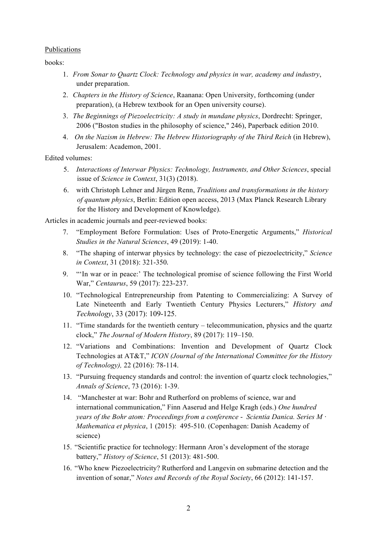### Publications

books:

- 1. *From Sonar to Quartz Clock: Technology and physics in war, academy and industry*, under preparation.
- 2. *Chapters in the History of Science*, Raanana: Open University, forthcoming (under preparation), (a Hebrew textbook for an Open university course).
- 3. *The Beginnings of Piezoelectricity: A study in mundane physics*, Dordrecht: Springer, 2006 ("Boston studies in the philosophy of science," 246), Paperback edition 2010.
- 4. *On the Nazism in Hebrew: The Hebrew Historiography of the Third Reich* (in Hebrew), Jerusalem: Academon, 2001.

Edited volumes:

- 5. *Interactions of Interwar Physics: Technology, Instruments, and Other Sciences*, special issue of *Science in Context*, 31(3) (2018).
- 6. with Christoph Lehner and Jürgen Renn, *Traditions and transformations in the history of quantum physics*, Berlin: Edition open access, 2013 (Max Planck Research Library for the History and Development of Knowledge).

Articles in academic journals and peer-reviewed books:

- 7. "Employment Before Formulation: Uses of Proto-Energetic Arguments," *Historical Studies in the Natural Sciences*, 49 (2019): 1-40.
- 8. "The shaping of interwar physics by technology: the case of piezoelectricity," *Science in Context*, 31 (2018): 321-350.
- 9. "'In war or in peace:' The technological promise of science following the First World War," *Centaurus*, 59 (2017): 223-237.
- 10. "Technological Entrepreneurship from Patenting to Commercializing: A Survey of Late Nineteenth and Early Twentieth Century Physics Lecturers," *History and Technology*, 33 (2017): 109-125.
- 11. "Time standards for the twentieth century telecommunication, physics and the quartz clock," *The Journal of Modern History*, 89 (2017): 119–150.
- 12. "Variations and Combinations: Invention and Development of Quartz Clock Technologies at AT&T," *ICON (Journal of the International Committee for the History of Technology),* 22 (2016): 78-114.
- 13. "Pursuing frequency standards and control: the invention of quartz clock technologies," *Annals of Science*, 73 (2016): 1-39.
- 14. "Manchester at war: Bohr and Rutherford on problems of science, war and international communication," Finn Aaserud and Helge Kragh (eds.) *One hundred years of the Bohr atom: Proceedings from a conference* - *Scientia Danica. Series M · Mathematica et physica*, 1 (2015): 495-510. (Copenhagen: Danish Academy of science)
- 15. "Scientific practice for technology: Hermann Aron's development of the storage battery," *History of Science*, 51 (2013): 481-500.
- 16. "Who knew Piezoelectricity? Rutherford and Langevin on submarine detection and the invention of sonar," *Notes and Records of the Royal Society*, 66 (2012): 141-157.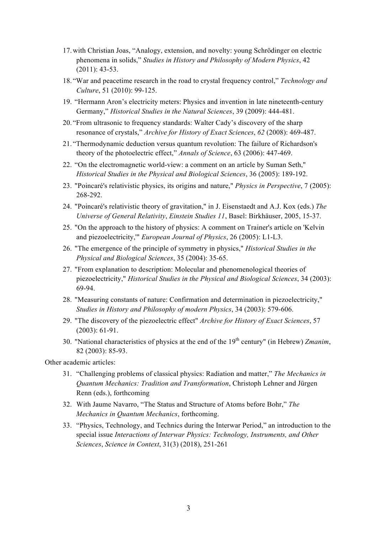- 17.with Christian Joas, "Analogy, extension, and novelty: young Schrödinger on electric phenomena in solids," *Studies in History and Philosophy of Modern Physics*, 42 (2011): 43-53.
- 18. "War and peacetime research in the road to crystal frequency control," *Technology and Culture*, 51 (2010): 99-125.
- 19. "Hermann Aron's electricity meters: Physics and invention in late nineteenth-century Germany," *Historical Studies in the Natural Sciences*, 39 (2009): 444-481.
- 20. "From ultrasonic to frequency standards: Walter Cady's discovery of the sharp resonance of crystals," *Archive for History of Exact Sciences*, *62* (2008): 469-487.
- 21. "Thermodynamic deduction versus quantum revolution: The failure of Richardson's theory of the photoelectric effect," *Annals of Science*, 63 (2006): 447-469.
- 22. "On the electromagnetic world-view: a comment on an article by Suman Seth," *Historical Studies in the Physical and Biological Sciences*, 36 (2005): 189-192.
- 23. "Poincaré's relativistic physics, its origins and nature," *Physics in Perspective*, 7 (2005): 268-292.
- 24. "Poincaré's relativistic theory of gravitation," in J. Eisenstaedt and A.J. Kox (eds.) *The Universe of General Relativity*, *Einstein Studies 11*, Basel: Birkhäuser, 2005, 15-37.
- 25. "On the approach to the history of physics: A comment on Trainer's article on 'Kelvin and piezoelectricity,'" *European Journal of Physics*, 26 (2005): L1-L3.
- 26. "The emergence of the principle of symmetry in physics," *Historical Studies in the Physical and Biological Sciences*, 35 (2004): 35-65.
- 27. "From explanation to description: Molecular and phenomenological theories of piezoelectricity," *Historical Studies in the Physical and Biological Sciences*, 34 (2003): 69-94.
- 28. "Measuring constants of nature: Confirmation and determination in piezoelectricity," *Studies in History and Philosophy of modern Physics*, 34 (2003): 579-606.
- 29. "The discovery of the piezoelectric effect" *Archive for History of Exact Sciences*, 57 (2003): 61-91.
- 30. "National characteristics of physics at the end of the 19<sup>th</sup> century" (in Hebrew) *Zmanim*, 82 (2003): 85-93.

Other academic articles:

- 31. "Challenging problems of classical physics: Radiation and matter," *The Mechanics in Quantum Mechanics: Tradition and Transformation*, Christoph Lehner and Jürgen Renn (eds.), forthcoming
- 32. With Jaume Navarro, "The Status and Structure of Atoms before Bohr," *The Mechanics in Quantum Mechanics*, forthcoming.
- 33. "Physics, Technology, and Technics during the Interwar Period," an introduction to the special issue *Interactions of Interwar Physics: Technology, Instruments, and Other Sciences*, *Science in Context*, 31(3) (2018), 251-261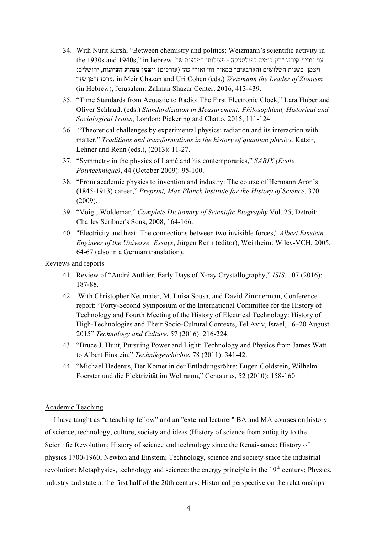- 34. With Nurit Kirsh, "Between chemistry and politics: Weizmann's scientific activity in  $\,$ the 1930s and 1940s," in hebrew שם נורית קירש "בין כימיה לפוליטיקה - פעילותו המדעית של און הוא הוא נורית קירש ויצמן בשנות השלושים והארבעים״ במאיר חזן ואורי כהן (עורכים) **ויצמן מנהיג הציונות**, ירושלים: שזר זלמן מרכז, in Meir Chazan and Uri Cohen (eds.) *Weizmann the Leader of Zionism* (in Hebrew), Jerusalem: Zalman Shazar Center, 2016, 413-439.
- 35. "Time Standards from Acoustic to Radio: The First Electronic Clock," Lara Huber and Oliver Schlaudt (eds.) *Standardization in Measurement: Philosophical, Historical and Sociological Issues*, London: Pickering and Chatto, 2015, 111-124.
- 36. "Theoretical challenges by experimental physics: radiation and its interaction with matter." *Traditions and transformations in the history of quantum physics,* Katzir, Lehner and Renn (eds.), (2013): 11-27.
- 37. "Symmetry in the physics of Lamé and his contemporaries," *SABIX (École Polytechnique)*, 44 (October 2009): 95-100.
- 38. "From academic physics to invention and industry: The course of Hermann Aron's (1845-1913) career," *Preprint, Max Planck Institute for the History of Science*, 370 (2009).
- 39. "Voigt, Woldemar," *Complete Dictionary of Scientific Biography* Vol. 25, Detroit: Charles Scribner's Sons, 2008, 164-166.
- 40. "Electricity and heat: The connections between two invisible forces," *Albert Einstein: Engineer of the Universe: Essays*, Jürgen Renn (editor), Weinheim: Wiley-VCH, 2005, 64-67 (also in a German translation).

Reviews and reports

- 41. Review of "André Authier, Early Days of X-ray Crystallography," *ISIS,* 107 (2016): 187-88.
- 42. With Christopher Neumaier, M. Luísa Sousa, and David Zimmerman, Conference report: "Forty-Second Symposium of the International Committee for the History of Technology and Fourth Meeting of the History of Electrical Technology: History of High-Technologies and Their Socio-Cultural Contexts, Tel Aviv, Israel, 16–20 August 2015" *Technology and Culture*, 57 (2016): 216-224.
- 43. "Bruce J. Hunt, Pursuing Power and Light: Technology and Physics from James Watt to Albert Einstein," *Technikgeschichte*, 78 (2011): 341-42.
- 44. "Michael Hedenus, Der Komet in der Entladungsröhre: Eugen Goldstein, Wilhelm Foerster und die Elektrizität im Weltraum," Centaurus, 52 (2010): 158-160.

#### Academic Teaching

I have taught as "a teaching fellow" and an "external lecturer" BA and MA courses on history of science, technology, culture, society and ideas (History of science from antiquity to the Scientific Revolution; History of science and technology since the Renaissance; History of physics 1700-1960; Newton and Einstein; Technology, science and society since the industrial revolution; Metaphysics, technology and science: the energy principle in the  $19<sup>th</sup>$  century; Physics, industry and state at the first half of the 20th century; Historical perspective on the relationships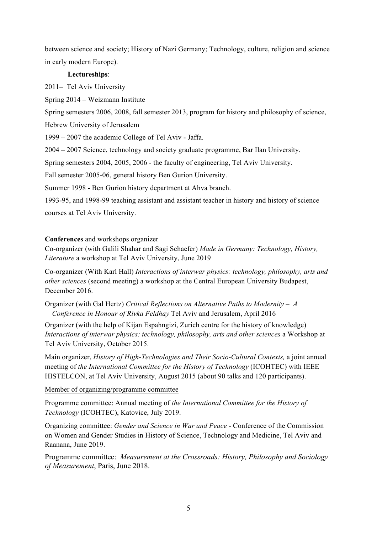between science and society; History of Nazi Germany; Technology, culture, religion and science in early modern Europe).

### **Lectureships**:

2011– Tel Aviv University

Spring 2014 – Weizmann Institute

Spring semesters 2006, 2008, fall semester 2013, program for history and philosophy of science,

Hebrew University of Jerusalem

1999 – 2007 the academic College of Tel Aviv - Jaffa.

2004 – 2007 Science, technology and society graduate programme, Bar Ilan University.

Spring semesters 2004, 2005, 2006 - the faculty of engineering, Tel Aviv University.

Fall semester 2005-06, general history Ben Gurion University.

Summer 1998 - Ben Gurion history department at Ahva branch.

1993-95, and 1998-99 teaching assistant and assistant teacher in history and history of science courses at Tel Aviv University.

## **Conferences** and workshops organizer

Co-organizer (with Galili Shahar and Sagi Schaefer) *Made in Germany: Technology, History, Literature* a workshop at Tel Aviv University, June 2019

Co-organizer (With Karl Hall) *Interactions of interwar physics: technology, philosophy, arts and other sciences* (second meeting) a workshop at the Central European University Budapest, December 2016.

Organizer (with Gal Hertz) *Critical Reflections on Alternative Paths to Modernity – A Conference in Honour of Rivka Feldhay* Tel Aviv and Jerusalem, April 2016

Organizer (with the help of Kijan Espahngizi, Zurich centre for the history of knowledge) *Interactions of interwar physics: technology, philosophy, arts and other sciences* a Workshop at Tel Aviv University, October 2015.

Main organizer, *History of High-Technologies and Their Socio-Cultural Contexts,* a joint annual meeting of *the International Committee for the History of Technology* (ICOHTEC) with IEEE HISTELCON, at Tel Aviv University, August 2015 (about 90 talks and 120 participants).

Member of organizing/programme committee

Programme committee: Annual meeting of *the International Committee for the History of Technology* (ICOHTEC), Katovice, July 2019.

Organizing committee: *Gender and Science in War and Peace* - Conference of the Commission on Women and Gender Studies in History of Science, Technology and Medicine, Tel Aviv and Raanana, June 2019.

Programme committee: *Measurement at the Crossroads: History, Philosophy and Sociology of Measurement*, Paris, June 2018.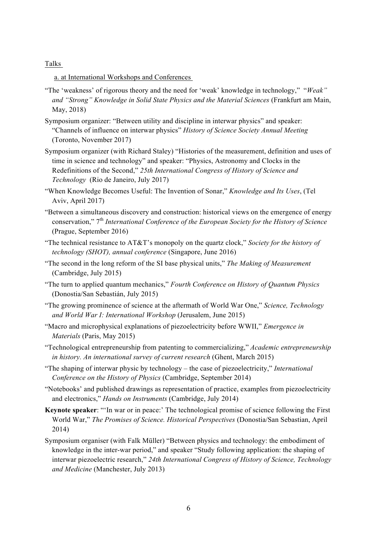#### Talks

a. at International Workshops and Conferences

- "The 'weakness' of rigorous theory and the need for 'weak' knowledge in technology," "*Weak" and "Strong" Knowledge in Solid State Physics and the Material Sciences* (Frankfurt am Main, May, 2018)
- Symposium organizer: "Between utility and discipline in interwar physics" and speaker: "Channels of influence on interwar physics" *History of Science Society Annual Meeting* (Toronto, November 2017)
- Symposium organizer (with Richard Staley) "Histories of the measurement, definition and uses of time in science and technology" and speaker: "Physics, Astronomy and Clocks in the Redefinitions of the Second," *25th International Congress of History of Science and Technology* (Rio de Janeiro, July 2017)
- "When Knowledge Becomes Useful: The Invention of Sonar," *Knowledge and Its Uses*, (Tel Aviv, April 2017)
- "Between a simultaneous discovery and construction: historical views on the emergence of energy conservation," 7th *International Conference of the European Society for the History of Science* (Prague, September 2016)
- "The technical resistance to AT&T's monopoly on the quartz clock," *Society for the history of technology (SHOT), annual conference* (Singapore, June 2016)
- "The second in the long reform of the SI base physical units," *The Making of Measurement* (Cambridge, July 2015)
- "The turn to applied quantum mechanics," *Fourth Conference on History of Quantum Physics* (Donostia/San Sebastián, July 2015)
- "The growing prominence of science at the aftermath of World War One," *Science, Technology and World War I: International Workshop* (Jerusalem, June 2015)
- "Macro and microphysical explanations of piezoelectricity before WWII," *Emergence in Materials* (Paris, May 2015)
- "Technological entrepreneurship from patenting to commercializing," *Academic entrepreneurship in history. An international survey of current research* (Ghent, March 2015)
- "The shaping of interwar physic by technology the case of piezoelectricity," *International Conference on the History of Physics* (Cambridge, September 2014)
- "Notebooks' and published drawings as representation of practice, examples from piezoelectricity and electronics," *Hands on Instruments* (Cambridge, July 2014)
- **Keynote speaker**: "'In war or in peace:' The technological promise of science following the First World War," *The Promises of Science. Historical Perspectives* (Donostia/San Sebastian, April 2014)
- Symposium organiser (with Falk Müller) "Between physics and technology: the embodiment of knowledge in the inter-war period," and speaker "Study following application: the shaping of interwar piezoelectric research," *24th International Congress of History of Science, Technology and Medicine* (Manchester, July 2013)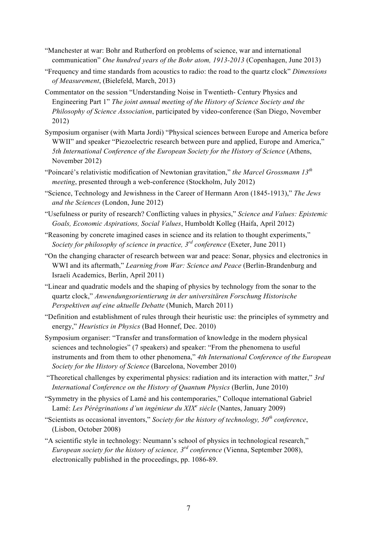- "Manchester at war: Bohr and Rutherford on problems of science, war and international communication" *One hundred years of the Bohr atom, 1913-2013* (Copenhagen, June 2013)
- "Frequency and time standards from acoustics to radio: the road to the quartz clock" *Dimensions of Measurement*, (Bielefeld, March, 2013)
- Commentator on the session "Understanding Noise in Twentieth- Century Physics and Engineering Part 1" *The joint annual meeting of the History of Science Society and the Philosophy of Science Association*, participated by video-conference (San Diego, November 2012)
- Symposium organiser (with Marta Jordi) "Physical sciences between Europe and America before WWII" and speaker "Piezoelectric research between pure and applied, Europe and America," *5th International Conference of the European Society for the History of Science* (Athens, November 2012)
- "Poincaré's relativistic modification of Newtonian gravitation," *the Marcel Grossmann 13th meeting*, presented through a web-conference (Stockholm, July 2012)
- "Science, Technology and Jewishness in the Career of Hermann Aron (1845-1913)," *The Jews and the Sciences* (London, June 2012)
- "Usefulness or purity of research? Conflicting values in physics," *Science and Values: Epistemic Goals, Economic Aspirations, Social Values*, Humboldt Kolleg (Haifa, April 2012)
- "Reasoning by concrete imagined cases in science and its relation to thought experiments," *Society for philosophy of science in practice, 3rd conference* (Exeter, June 2011)
- "On the changing character of research between war and peace: Sonar, physics and electronics in WWI and its aftermath," *Learning from War: Science and Peace* (Berlin-Brandenburg and Israeli Academics, Berlin, April 2011)
- "Linear and quadratic models and the shaping of physics by technology from the sonar to the quartz clock," *Anwendungsorientierung in der universitären Forschung Historische Perspektiven auf eine aktuelle Debatte* (Munich, March 2011)
- "Definition and establishment of rules through their heuristic use: the principles of symmetry and energy," *Heuristics in Physics* (Bad Honnef, Dec. 2010)
- Symposium organiser: "Transfer and transformation of knowledge in the modern physical sciences and technologies" (7 speakers) and speaker: "From the phenomena to useful instruments and from them to other phenomena," *4th International Conference of the European Society for the History of Science* (Barcelona, November 2010)
- "Theoretical challenges by experimental physics: radiation and its interaction with matter," *3rd International Conference on the History of Quantum Physics* (Berlin, June 2010)
- "Symmetry in the physics of Lamé and his contemporaries," Colloque international Gabriel Lamé: *Les Pérégrinations d'un ingénieur du XIX<sup>e</sup> siėcle* (Nantes, January 2009)
- "Scientists as occasional inventors," *Society for the history of technology, 50th conference*, (Lisbon, October 2008)
- "A scientific style in technology: Neumann's school of physics in technological research," *European society for the history of science, 3rd conference* (Vienna, September 2008), electronically published in the proceedings, pp. 1086-89.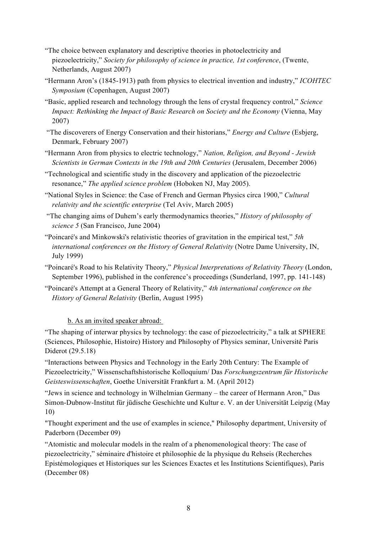- "The choice between explanatory and descriptive theories in photoelectricity and piezoelectricity," *Society for philosophy of science in practice, 1st conference*, (Twente, Netherlands, August 2007)
- "Hermann Aron's (1845-1913) path from physics to electrical invention and industry," *ICOHTEC Symposium* (Copenhagen, August 2007)
- "Basic, applied research and technology through the lens of crystal frequency control," *Science Impact: Rethinking the Impact of Basic Research on Society and the Economy* (Vienna, May 2007)
- "The discoverers of Energy Conservation and their historians," *Energy and Culture* (Esbjerg, Denmark, February 2007)
- "Hermann Aron from physics to electric technology," *Nation, Religion, and Beyond - Jewish Scientists in German Contexts in the 19th and 20th Centuries* (Jerusalem, December 2006)
- "Technological and scientific study in the discovery and application of the piezoelectric resonance," *The applied science problem* (Hoboken NJ, May 2005).
- "National Styles in Science: the Case of French and German Physics circa 1900," *Cultural relativity and the scientific enterprise* (Tel Aviv, March 2005)
- "The changing aims of Duhem's early thermodynamics theories," *History of philosophy of science 5* (San Francisco, June 2004)
- "Poincaré's and Minkowski's relativistic theories of gravitation in the empirical test," *5th international conferences on the History of General Relativity* (Notre Dame University, IN, July 1999)
- "Poincaré's Road to his Relativity Theory," *Physical Interpretations of Relativity Theory* (London, September 1996), published in the conference's proceedings (Sunderland, 1997, pp. 141-148)
- "Poincaré's Attempt at a General Theory of Relativity," *4th international conference on the History of General Relativity* (Berlin, August 1995)

# b. As an invited speaker abroad:

"The shaping of interwar physics by technology: the case of piezoelectricity," a talk at SPHERE (Sciences, Philosophie, Histoire) History and Philosophy of Physics seminar, Université Paris Diderot (29.5.18)

"Interactions between Physics and Technology in the Early 20th Century: The Example of Piezoelectricity," Wissenschaftshistorische Kolloquium/ Das *Forschungszentrum für Historische Geisteswissenschaften*, Goethe Universität Frankfurt a. M. (April 2012)

"Jews in science and technology in Wilhelmian Germany – the career of Hermann Aron," Das Simon-Dubnow-Institut für jüdische Geschichte und Kultur e. V. an der Universität Leipzig (May 10)

"Thought experiment and the use of examples in science," Philosophy department, University of Paderborn (December 09)

"Atomistic and molecular models in the realm of a phenomenological theory: The case of piezoelectricity," séminaire d'histoire et philosophie de la physique du Rehseis (Recherches Epistémologiques et Historiques sur les Sciences Exactes et les Institutions Scientifiques), Paris (December 08)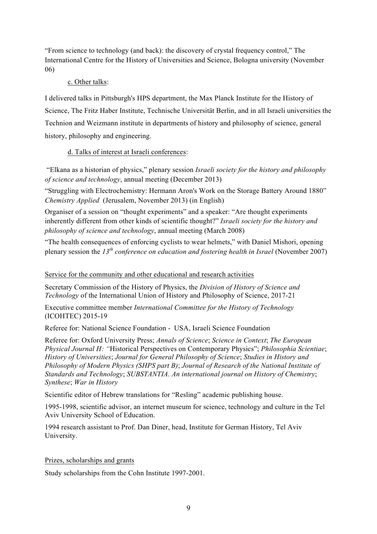"From science to technology (and back): the discovery of crystal frequency control," The International Centre for the History of Universities and Science, Bologna university (November 06)

## c. Other talks:

I delivered talks in Pittsburgh's HPS department, the Max Planck Institute for the History of Science, The Fritz Haber Institute, Technische Universität Berlin, and in all Israeli universities the Technion and Weizmann institute in departments of history and philosophy of science, general history, philosophy and engineering.

# d. Talks of interest at Israeli conferences:

"Elkana as a historian of physics," plenary session *Israeli society for the history and philosophy of science and technology*, annual meeting (December 2013)

"Struggling with Electrochemistry: Hermann Aron's Work on the Storage Battery Around 1880" *Chemistry Applied* (Jerusalem, November 2013) (in English)

Organiser of a session on "thought experiments" and a speaker: "Are thought experiments inherently different from other kinds of scientific thought?" *Israeli society for the history and philosophy of science and technology*, annual meeting (March 2008)

"The health consequences of enforcing cyclists to wear helmets," with Daniel Mishori, opening plenary session the *13th conference on education and fostering health in Israel* (November 2007)

# Service for the community and other educational and research activities

Secretary Commission of the History of Physics, the *Division of History of Science and Technology* of the International Union of History and Philosophy of Science, 2017-21

Executive committee member *International Committee for the History of Technology* (ICOHTEC) 2015-19

Referee for: National Science Foundation - USA, Israeli Science Foundation

Referee for: Oxford University Press; *Annals of Science*; *Science in Context*; *The European Physical Journal H: "*Historical Perspectives on Contemporary Physics"; *Philosophia Scientiae*; *History of Universities*; *Journal for General Philosophy of Science*; *Studies in History and Philosophy of Modern Physics (SHPS part B)*; *Journal of Research of the National Institute of Standards and Technology*; *SUBSTANTIA. An international journal on History of Chemistry*; *Synthese*; *War in History*

Scientific editor of Hebrew translations for "Resling" academic publishing house.

1995-1998, scientific advisor, an internet museum for science, technology and culture in the Tel Aviv University School of Education.

1994 research assistant to Prof. Dan Diner, head, Institute for German History, Tel Aviv University.

Prizes, scholarships and grants

Study scholarships from the Cohn Institute 1997-2001.